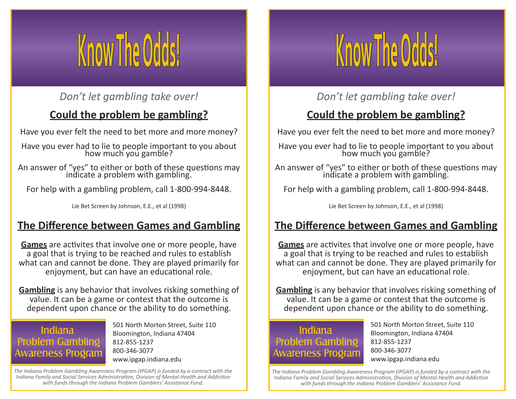

### *Don't let gambling take over!*

# **Could the problem be gambling?**

Have you ever felt the need to bet more and more money?

Have you ever had to lie to people important to you about how much you gamble?

An answer of "yes" to either or both of these questions may indicate a problem with gambling.

For help with a gambling problem, call 1-800-994-8448.

Lie Bet Screen by Johnson, E.E., et al (1998)

#### **The Difference between Games and Gambling**

**Games** are activites that involve one or more people, have a goal that is trying to be reached and rules to establish what can and cannot be done. They are played primarily for enjoyment, but can have an educational role.

**Gambling** is any behavior that involves risking something of value. It can be a game or contest that the outcome is dependent upon chance or the ability to do something.

#### Indiana **Problem Gambling Awareness Program**

501 North Morton Street, Suite 110 Bloomington, Indiana 47404 812-855-1237 800-346-3077 www.ipgap.indiana.edu

*The Indiana Problem Gambling Awareness Program (IPGAP) is funded by a contract with the Indiana Family and Social Services Administration, Division of Mental Health and Addiction with funds through the Indiana Problem Gamblers' Assistance Fund.*



### *Don't let gambling take over!*

## **Could the problem be gambling?**

Have you ever felt the need to bet more and more money?

Have you ever had to lie to people important to you about how much you gamble?

An answer of "yes" to either or both of these questions may indicate a problem with gambling.

For help with a gambling problem, call 1-800-994-8448.

Lie Bet Screen by Johnson, E.E., et al (1998)

### **The Difference between Games and Gambling**

**Games** are activites that involve one or more people, have a goal that is trying to be reached and rules to establish what can and cannot be done. They are played primarily for enjoyment, but can have an educational role.

**Gambling** is any behavior that involves risking something of value. It can be a game or contest that the outcome is dependent upon chance or the ability to do something.

#### **Indiana Problem Gambling Awareness Program**

501 North Morton Street, Suite 110 Bloomington, Indiana 47404 812-855-1237 800-346-3077 www.ipgap.indiana.edu

*The Indiana Problem Gambling Awareness Program (IPGAP) is funded by a contract with the Indiana Family and Social Services Administration, Division of Mental Health and Addiction with funds through the Indiana Problem Gamblers' Assistance Fund.*